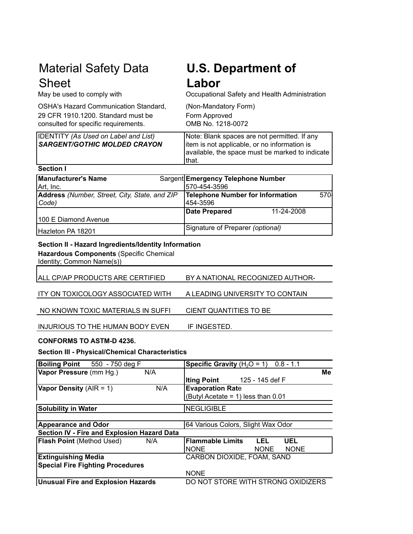# Material Safety Data **Sheet**<br>May be used to comply with

OSHA's Hazard Communication Standard, (Non-Mandatory Form) 29 CFR 1910.1200. Standard must be Form Approved consulted for specific requirements. OMB No. 1218-0072

# **U.S. Department of Labor**

Occupational Safety and Health Administration

| <b>IDENTITY (As Used on Label and List)</b> | Note: Blank spaces are not permitted. If any    |  |
|---------------------------------------------|-------------------------------------------------|--|
| <b>SARGENT/GOTHIC MOLDED CRAYON</b>         | litem is not applicable, or no information is   |  |
|                                             | available, the space must be marked to indicate |  |
|                                             | lthat.                                          |  |
|                                             |                                                 |  |

| Manufacturer's Name                           | Sargent Emergency Telephone Number                   |  |  |  |
|-----------------------------------------------|------------------------------------------------------|--|--|--|
| Art, Inc.                                     | 570-454-3596                                         |  |  |  |
| Address (Number, Street, City, State, and ZIP | Telephone Number for Information<br>570 <sup>I</sup> |  |  |  |
| $\vert Code\rangle$                           | 454-3596                                             |  |  |  |
|                                               | Date Prepared<br>11-24-2008                          |  |  |  |
| 100 E Diamond Avenue                          |                                                      |  |  |  |
| Hazleton PA 18201                             | Signature of Preparer (optional)                     |  |  |  |

#### **Section II - Hazard Ingredients/Identity Information**

**Hazardous Components** (Specific Chemical

Identity; Common Name(s))

| ALL CP/AP PRODUCTS ARE CERTIFIED | BY A NATIONAL RECOGNIZED AUTHOR- |
|----------------------------------|----------------------------------|
|                                  |                                  |

A LEADING UNIVERSITY TO CONTAIN ITY ON TOXICOLOGY ASSOCIATED WITH

CIENT QUANTITIES TO BE NO KNOWN TOXIC MATERIALS IN SUFFI

 IF INGESTED. INJURIOUS TO THE HUMAN BODY EVEN

#### **CONFORMS TO ASTM-D 4236.**

#### **Section III - Physical/Chemical Characteristics**

| <b>Boiling Point</b> 550 - 750 deg F        | <b>Specific Gravity</b> $(H_2O = 1)$ 0.8 - 1.1 |  |  |
|---------------------------------------------|------------------------------------------------|--|--|
| Vapor Pressure (mm Hg.)<br>N/A              | Me                                             |  |  |
|                                             | Iting Point 125 - 145 def F                    |  |  |
| <b>Vapor Density</b> (AIR = 1)<br>N/A       | <b>Evaporation Rate</b>                        |  |  |
|                                             | (Butyl Acetate = 1) less than $0.01$           |  |  |
| Solubility in Water                         | <b>NEGLIGIBLE</b>                              |  |  |
|                                             |                                                |  |  |
| <b>Appearance and Odor</b>                  | 64 Various Colors, Slight Wax Odor             |  |  |
| Section IV - Fire and Explosion Hazard Data |                                                |  |  |
| <b>Flash Point (Method Used)</b><br>N/A     | <b>Flammable Limits</b><br>LEL.<br><b>UEL</b>  |  |  |
|                                             | INONE<br><b>NONE</b><br><b>NONE</b>            |  |  |
| <b>Extinguishing Media</b>                  | CARBON DIOXIDE, FOAM, SAND                     |  |  |
| <b>Special Fire Fighting Procedures</b>     |                                                |  |  |
|                                             | <b>NONE</b>                                    |  |  |
| <b>Unusual Fire and Explosion Hazards</b>   | DO NOT STORE WITH STRONG OXIDIZERS             |  |  |